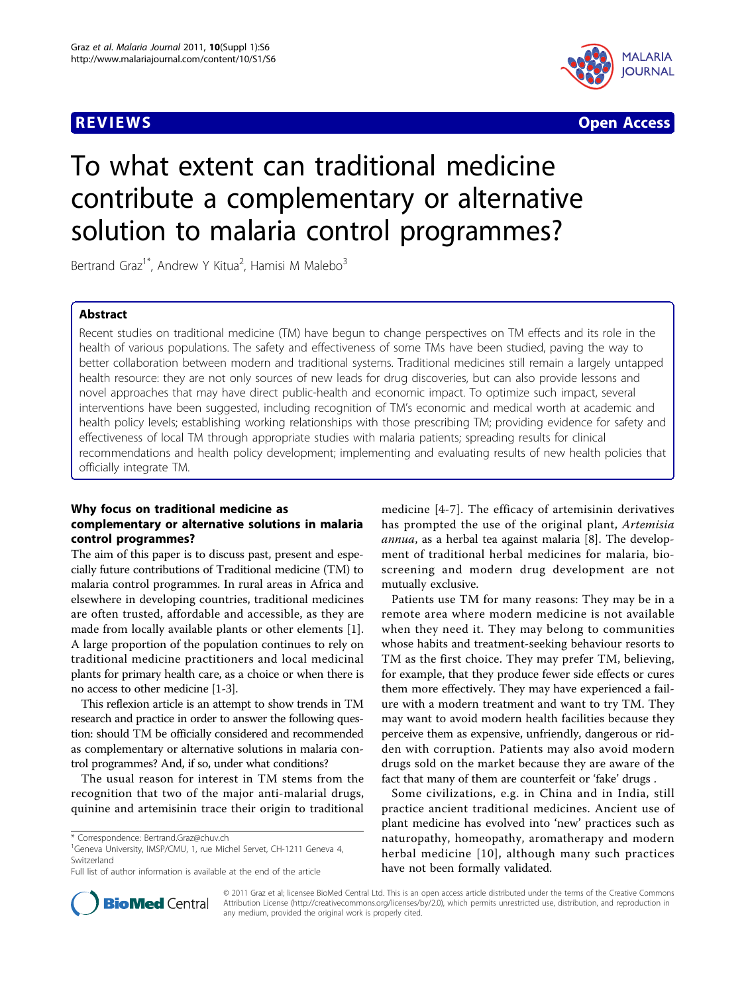



# To what extent can traditional medicine contribute a complementary or alternative solution to malaria control programmes?

Bertrand Graz<sup>1\*</sup>, Andrew Y Kitua<sup>2</sup>, Hamisi M Malebo<sup>3</sup>

#### Abstract

Recent studies on traditional medicine (TM) have begun to change perspectives on TM effects and its role in the health of various populations. The safety and effectiveness of some TMs have been studied, paving the way to better collaboration between modern and traditional systems. Traditional medicines still remain a largely untapped health resource: they are not only sources of new leads for drug discoveries, but can also provide lessons and novel approaches that may have direct public-health and economic impact. To optimize such impact, several interventions have been suggested, including recognition of TM's economic and medical worth at academic and health policy levels; establishing working relationships with those prescribing TM; providing evidence for safety and effectiveness of local TM through appropriate studies with malaria patients; spreading results for clinical recommendations and health policy development; implementing and evaluating results of new health policies that officially integrate TM.

# Why focus on traditional medicine as complementary or alternative solutions in malaria control programmes?

The aim of this paper is to discuss past, present and especially future contributions of Traditional medicine (TM) to malaria control programmes. In rural areas in Africa and elsewhere in developing countries, traditional medicines are often trusted, affordable and accessible, as they are made from locally available plants or other elements [\[1](#page-5-0)]. A large proportion of the population continues to rely on traditional medicine practitioners and local medicinal plants for primary health care, as a choice or when there is no access to other medicine [\[1-3](#page-5-0)].

This reflexion article is an attempt to show trends in TM research and practice in order to answer the following question: should TM be officially considered and recommended as complementary or alternative solutions in malaria control programmes? And, if so, under what conditions?

The usual reason for interest in TM stems from the recognition that two of the major anti-malarial drugs, quinine and artemisinin trace their origin to traditional medicine [\[4-7](#page-5-0)]. The efficacy of artemisinin derivatives has prompted the use of the original plant, Artemisia annua, as a herbal tea against malaria [[8\]](#page-5-0). The development of traditional herbal medicines for malaria, bioscreening and modern drug development are not mutually exclusive.

Patients use TM for many reasons: They may be in a remote area where modern medicine is not available when they need it. They may belong to communities whose habits and treatment-seeking behaviour resorts to TM as the first choice. They may prefer TM, believing, for example, that they produce fewer side effects or cures them more effectively. They may have experienced a failure with a modern treatment and want to try TM. They may want to avoid modern health facilities because they perceive them as expensive, unfriendly, dangerous or ridden with corruption. Patients may also avoid modern drugs sold on the market because they are aware of the fact that many of them are counterfeit or 'fake' drugs .

Some civilizations, e.g. in China and in India, still practice ancient traditional medicines. Ancient use of plant medicine has evolved into 'new' practices such as naturopathy, homeopathy, aromatherapy and modern herbal medicine [[10\]](#page-5-0), although many such practices have not been formally validated.



© 2011 Graz et al; licensee BioMed Central Ltd. This is an open access article distributed under the terms of the Creative Commons Attribution License [\(http://creativecommons.org/licenses/by/2.0](http://creativecommons.org/licenses/by/2.0)), which permits unrestricted use, distribution, and reproduction in any medium, provided the original work is properly cited.

<sup>\*</sup> Correspondence: [Bertrand.Graz@chuv.ch](mailto:Bertrand.Graz@chuv.ch)

<sup>&</sup>lt;sup>1</sup>Geneva University, IMSP/CMU, 1, rue Michel Servet, CH-1211 Geneva 4, Switzerland

Full list of author information is available at the end of the article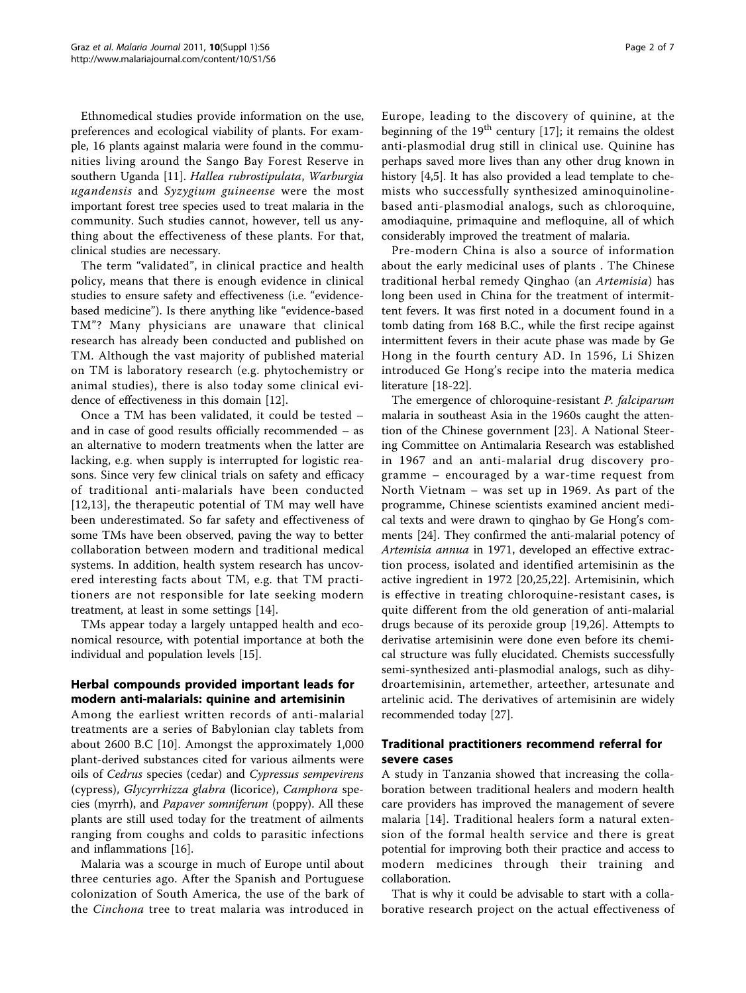Ethnomedical studies provide information on the use, preferences and ecological viability of plants. For example, 16 plants against malaria were found in the communities living around the Sango Bay Forest Reserve in southern Uganda [[11](#page-5-0)]. Hallea rubrostipulata, Warburgia ugandensis and Syzygium guineense were the most important forest tree species used to treat malaria in the community. Such studies cannot, however, tell us anything about the effectiveness of these plants. For that, clinical studies are necessary.

The term "validated", in clinical practice and health policy, means that there is enough evidence in clinical studies to ensure safety and effectiveness (i.e. "evidencebased medicine"). Is there anything like "evidence-based TM"? Many physicians are unaware that clinical research has already been conducted and published on TM. Although the vast majority of published material on TM is laboratory research (e.g. phytochemistry or animal studies), there is also today some clinical evidence of effectiveness in this domain [\[12\]](#page-5-0).

Once a TM has been validated, it could be tested – and in case of good results officially recommended – as an alternative to modern treatments when the latter are lacking, e.g. when supply is interrupted for logistic reasons. Since very few clinical trials on safety and efficacy of traditional anti-malarials have been conducted [[12,13](#page-5-0)], the therapeutic potential of TM may well have been underestimated. So far safety and effectiveness of some TMs have been observed, paving the way to better collaboration between modern and traditional medical systems. In addition, health system research has uncovered interesting facts about TM, e.g. that TM practitioners are not responsible for late seeking modern treatment, at least in some settings [\[14\]](#page-5-0).

TMs appear today a largely untapped health and economical resource, with potential importance at both the individual and population levels [[15\]](#page-5-0).

## Herbal compounds provided important leads for modern anti-malarials: quinine and artemisinin

Among the earliest written records of anti-malarial treatments are a series of Babylonian clay tablets from about 2600 B.C [[10\]](#page-5-0). Amongst the approximately 1,000 plant-derived substances cited for various ailments were oils of Cedrus species (cedar) and Cypressus sempevirens (cypress), Glycyrrhizza glabra (licorice), Camphora species (myrrh), and Papaver somniferum (poppy). All these plants are still used today for the treatment of ailments ranging from coughs and colds to parasitic infections and inflammations [[16](#page-5-0)].

Malaria was a scourge in much of Europe until about three centuries ago. After the Spanish and Portuguese colonization of South America, the use of the bark of the Cinchona tree to treat malaria was introduced in Europe, leading to the discovery of quinine, at the beginning of the  $19<sup>th</sup>$  century [[17\]](#page-5-0); it remains the oldest anti-plasmodial drug still in clinical use. Quinine has perhaps saved more lives than any other drug known in history [[4,5\]](#page-5-0). It has also provided a lead template to chemists who successfully synthesized aminoquinolinebased anti-plasmodial analogs, such as chloroquine, amodiaquine, primaquine and mefloquine, all of which considerably improved the treatment of malaria.

Pre-modern China is also a source of information about the early medicinal uses of plants . The Chinese traditional herbal remedy Qinghao (an Artemisia) has long been used in China for the treatment of intermittent fevers. It was first noted in a document found in a tomb dating from 168 B.C., while the first recipe against intermittent fevers in their acute phase was made by Ge Hong in the fourth century AD. In 1596, Li Shizen introduced Ge Hong's recipe into the materia medica literature [\[18](#page-5-0)-[22](#page-5-0)].

The emergence of chloroquine-resistant P. falciparum malaria in southeast Asia in the 1960s caught the attention of the Chinese government [[23\]](#page-5-0). A National Steering Committee on Antimalaria Research was established in 1967 and an anti-malarial drug discovery programme – encouraged by a war-time request from North Vietnam – was set up in 1969. As part of the programme, Chinese scientists examined ancient medical texts and were drawn to qinghao by Ge Hong's comments [\[24\]](#page-5-0). They confirmed the anti-malarial potency of Artemisia annua in 1971, developed an effective extraction process, isolated and identified artemisinin as the active ingredient in 1972 [[20,25,22\]](#page-5-0). Artemisinin, which is effective in treating chloroquine-resistant cases, is quite different from the old generation of anti-malarial drugs because of its peroxide group [[19,26](#page-5-0)]. Attempts to derivatise artemisinin were done even before its chemical structure was fully elucidated. Chemists successfully semi-synthesized anti-plasmodial analogs, such as dihydroartemisinin, artemether, arteether, artesunate and artelinic acid. The derivatives of artemisinin are widely recommended today [[27\]](#page-5-0).

# Traditional practitioners recommend referral for severe cases

A study in Tanzania showed that increasing the collaboration between traditional healers and modern health care providers has improved the management of severe malaria [[14](#page-5-0)]. Traditional healers form a natural extension of the formal health service and there is great potential for improving both their practice and access to modern medicines through their training and collaboration.

That is why it could be advisable to start with a collaborative research project on the actual effectiveness of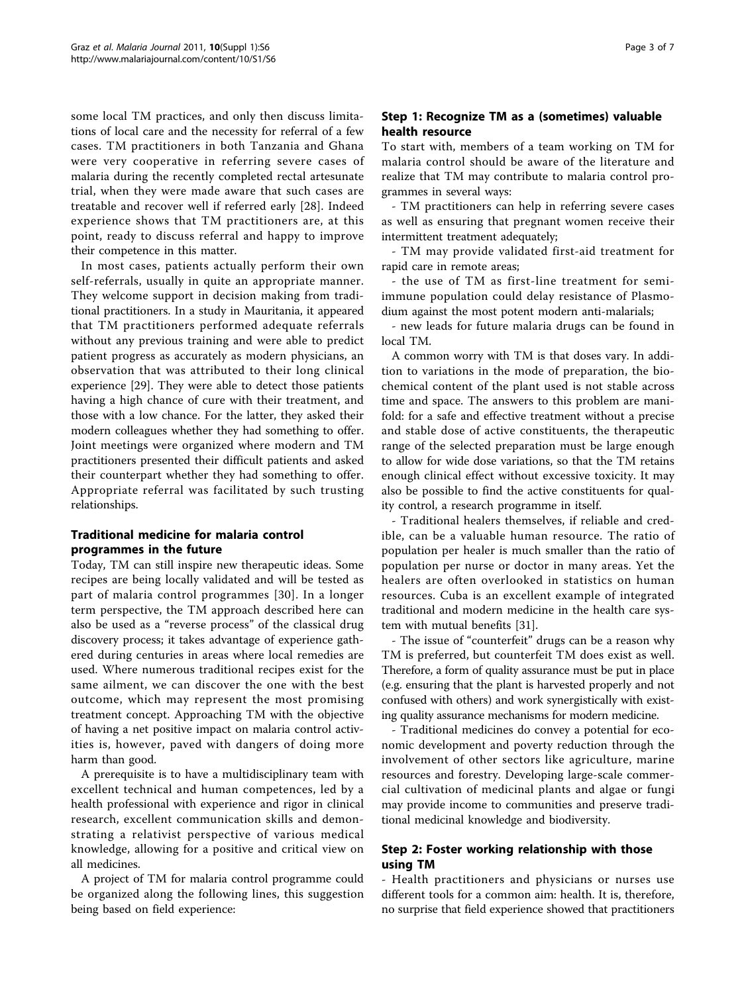some local TM practices, and only then discuss limitations of local care and the necessity for referral of a few cases. TM practitioners in both Tanzania and Ghana were very cooperative in referring severe cases of malaria during the recently completed rectal artesunate trial, when they were made aware that such cases are treatable and recover well if referred early [[28](#page-5-0)]. Indeed experience shows that TM practitioners are, at this point, ready to discuss referral and happy to improve their competence in this matter.

In most cases, patients actually perform their own self-referrals, usually in quite an appropriate manner. They welcome support in decision making from traditional practitioners. In a study in Mauritania, it appeared that TM practitioners performed adequate referrals without any previous training and were able to predict patient progress as accurately as modern physicians, an observation that was attributed to their long clinical experience [\[29](#page-5-0)]. They were able to detect those patients having a high chance of cure with their treatment, and those with a low chance. For the latter, they asked their modern colleagues whether they had something to offer. Joint meetings were organized where modern and TM practitioners presented their difficult patients and asked their counterpart whether they had something to offer. Appropriate referral was facilitated by such trusting relationships.

# Traditional medicine for malaria control programmes in the future

Today, TM can still inspire new therapeutic ideas. Some recipes are being locally validated and will be tested as part of malaria control programmes [[30\]](#page-5-0). In a longer term perspective, the TM approach described here can also be used as a "reverse process" of the classical drug discovery process; it takes advantage of experience gathered during centuries in areas where local remedies are used. Where numerous traditional recipes exist for the same ailment, we can discover the one with the best outcome, which may represent the most promising treatment concept. Approaching TM with the objective of having a net positive impact on malaria control activities is, however, paved with dangers of doing more harm than good.

A prerequisite is to have a multidisciplinary team with excellent technical and human competences, led by a health professional with experience and rigor in clinical research, excellent communication skills and demonstrating a relativist perspective of various medical knowledge, allowing for a positive and critical view on all medicines.

A project of TM for malaria control programme could be organized along the following lines, this suggestion being based on field experience:

# Step 1: Recognize TM as a (sometimes) valuable health resource

To start with, members of a team working on TM for malaria control should be aware of the literature and realize that TM may contribute to malaria control programmes in several ways:

- TM practitioners can help in referring severe cases as well as ensuring that pregnant women receive their intermittent treatment adequately;

- TM may provide validated first-aid treatment for rapid care in remote areas;

- the use of TM as first-line treatment for semiimmune population could delay resistance of Plasmodium against the most potent modern anti-malarials;

- new leads for future malaria drugs can be found in local TM.

A common worry with TM is that doses vary. In addition to variations in the mode of preparation, the biochemical content of the plant used is not stable across time and space. The answers to this problem are manifold: for a safe and effective treatment without a precise and stable dose of active constituents, the therapeutic range of the selected preparation must be large enough to allow for wide dose variations, so that the TM retains enough clinical effect without excessive toxicity. It may also be possible to find the active constituents for quality control, a research programme in itself.

- Traditional healers themselves, if reliable and credible, can be a valuable human resource. The ratio of population per healer is much smaller than the ratio of population per nurse or doctor in many areas. Yet the healers are often overlooked in statistics on human resources. Cuba is an excellent example of integrated traditional and modern medicine in the health care system with mutual benefits [[31](#page-5-0)].

- The issue of "counterfeit" drugs can be a reason why TM is preferred, but counterfeit TM does exist as well. Therefore, a form of quality assurance must be put in place (e.g. ensuring that the plant is harvested properly and not confused with others) and work synergistically with existing quality assurance mechanisms for modern medicine.

- Traditional medicines do convey a potential for economic development and poverty reduction through the involvement of other sectors like agriculture, marine resources and forestry. Developing large-scale commercial cultivation of medicinal plants and algae or fungi may provide income to communities and preserve traditional medicinal knowledge and biodiversity.

## Step 2: Foster working relationship with those using TM

- Health practitioners and physicians or nurses use different tools for a common aim: health. It is, therefore, no surprise that field experience showed that practitioners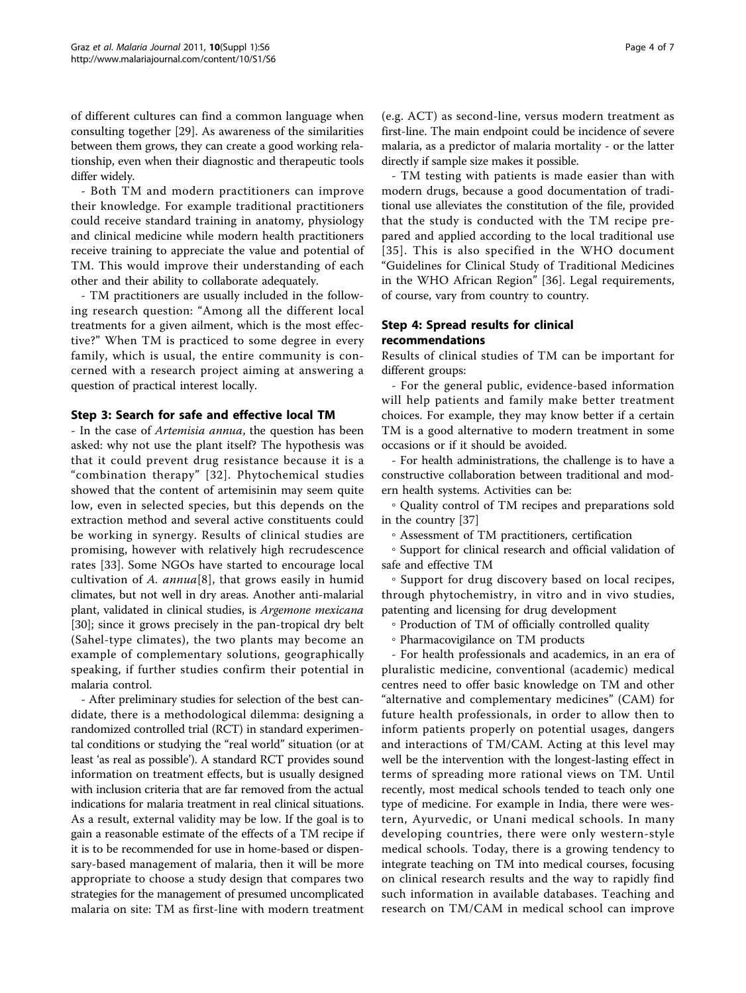of different cultures can find a common language when consulting together [[29\]](#page-5-0). As awareness of the similarities between them grows, they can create a good working relationship, even when their diagnostic and therapeutic tools differ widely.

- Both TM and modern practitioners can improve their knowledge. For example traditional practitioners could receive standard training in anatomy, physiology and clinical medicine while modern health practitioners receive training to appreciate the value and potential of TM. This would improve their understanding of each other and their ability to collaborate adequately.

- TM practitioners are usually included in the following research question: "Among all the different local treatments for a given ailment, which is the most effective?" When TM is practiced to some degree in every family, which is usual, the entire community is concerned with a research project aiming at answering a question of practical interest locally.

#### Step 3: Search for safe and effective local TM

- In the case of Artemisia annua, the question has been asked: why not use the plant itself? The hypothesis was that it could prevent drug resistance because it is a "combination therapy" [[32\]](#page-5-0). Phytochemical studies showed that the content of artemisinin may seem quite low, even in selected species, but this depends on the extraction method and several active constituents could be working in synergy. Results of clinical studies are promising, however with relatively high recrudescence rates [\[33](#page-5-0)]. Some NGOs have started to encourage local cultivation of A.  $annua[8]$  $annua[8]$  $annua[8]$ , that grows easily in humid climates, but not well in dry areas. Another anti-malarial plant, validated in clinical studies, is Argemone mexicana [[30\]](#page-5-0); since it grows precisely in the pan-tropical dry belt (Sahel-type climates), the two plants may become an example of complementary solutions, geographically speaking, if further studies confirm their potential in malaria control.

- After preliminary studies for selection of the best candidate, there is a methodological dilemma: designing a randomized controlled trial (RCT) in standard experimental conditions or studying the "real world" situation (or at least 'as real as possible'). A standard RCT provides sound information on treatment effects, but is usually designed with inclusion criteria that are far removed from the actual indications for malaria treatment in real clinical situations. As a result, external validity may be low. If the goal is to gain a reasonable estimate of the effects of a TM recipe if it is to be recommended for use in home-based or dispensary-based management of malaria, then it will be more appropriate to choose a study design that compares two strategies for the management of presumed uncomplicated malaria on site: TM as first-line with modern treatment

(e.g. ACT) as second-line, versus modern treatment as first-line. The main endpoint could be incidence of severe malaria, as a predictor of malaria mortality - or the latter directly if sample size makes it possible.

- TM testing with patients is made easier than with modern drugs, because a good documentation of traditional use alleviates the constitution of the file, provided that the study is conducted with the TM recipe prepared and applied according to the local traditional use [[35](#page-5-0)]. This is also specified in the WHO document "Guidelines for Clinical Study of Traditional Medicines in the WHO African Region" [[36](#page-5-0)]. Legal requirements, of course, vary from country to country.

#### Step 4: Spread results for clinical recommendations

Results of clinical studies of TM can be important for different groups:

- For the general public, evidence-based information will help patients and family make better treatment choices. For example, they may know better if a certain TM is a good alternative to modern treatment in some occasions or if it should be avoided.

- For health administrations, the challenge is to have a constructive collaboration between traditional and modern health systems. Activities can be:

◦ Quality control of TM recipes and preparations sold in the country [[37](#page-5-0)]

◦ Assessment of TM practitioners, certification

◦ Support for clinical research and official validation of safe and effective TM

◦ Support for drug discovery based on local recipes, through phytochemistry, in vitro and in vivo studies, patenting and licensing for drug development

◦ Production of TM of officially controlled quality

◦ Pharmacovigilance on TM products

- For health professionals and academics, in an era of pluralistic medicine, conventional (academic) medical centres need to offer basic knowledge on TM and other "alternative and complementary medicines" (CAM) for future health professionals, in order to allow then to inform patients properly on potential usages, dangers and interactions of TM/CAM. Acting at this level may well be the intervention with the longest-lasting effect in terms of spreading more rational views on TM. Until recently, most medical schools tended to teach only one type of medicine. For example in India, there were western, Ayurvedic, or Unani medical schools. In many developing countries, there were only western-style medical schools. Today, there is a growing tendency to integrate teaching on TM into medical courses, focusing on clinical research results and the way to rapidly find such information in available databases. Teaching and research on TM/CAM in medical school can improve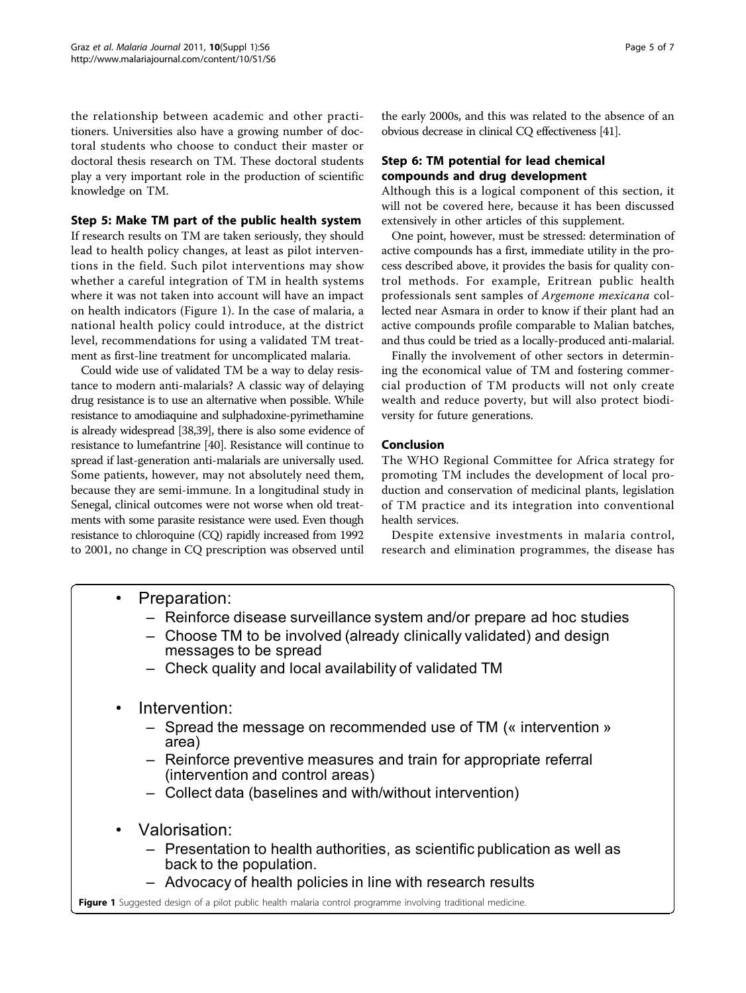the relationship between academic and other practitioners. Universities also have a growing number of doctoral students who choose to conduct their master or doctoral thesis research on TM. These doctoral students play a very important role in the production of scientific knowledge on TM.

# Step 5: Make TM part of the public health system

If research results on TM are taken seriously, they should lead to health policy changes, at least as pilot interventions in the field. Such pilot interventions may show whether a careful integration of TM in health systems where it was not taken into account will have an impact on health indicators (Figure 1). In the case of malaria, a national health policy could introduce, at the district level, recommendations for using a validated TM treatment as first-line treatment for uncomplicated malaria.

Could wide use of validated TM be a way to delay resistance to modern anti-malarials? A classic way of delaying drug resistance is to use an alternative when possible. While resistance to amodiaquine and sulphadoxine-pyrimethamine is already widespread [\[38,39\]](#page-5-0), there is also some evidence of resistance to lumefantrine [\[40\]](#page-5-0). Resistance will continue to spread if last-generation anti-malarials are universally used. Some patients, however, may not absolutely need them, because they are semi-immune. In a longitudinal study in Senegal, clinical outcomes were not worse when old treatments with some parasite resistance were used. Even though resistance to chloroquine (CQ) rapidly increased from 1992 to 2001, no change in CQ prescription was observed until

the early 2000s, and this was related to the absence of an obvious decrease in clinical CQ effectiveness [[41\]](#page-6-0).

## Step 6: TM potential for lead chemical compounds and drug development

Although this is a logical component of this section, it will not be covered here, because it has been discussed extensively in other articles of this supplement.

One point, however, must be stressed: determination of active compounds has a first, immediate utility in the process described above, it provides the basis for quality control methods. For example, Eritrean public health professionals sent samples of Argemone mexicana collected near Asmara in order to know if their plant had an active compounds profile comparable to Malian batches, and thus could be tried as a locally-produced anti-malarial.

Finally the involvement of other sectors in determining the economical value of TM and fostering commercial production of TM products will not only create wealth and reduce poverty, but will also protect biodiversity for future generations.

# Conclusion

The WHO Regional Committee for Africa strategy for promoting TM includes the development of local production and conservation of medicinal plants, legislation of TM practice and its integration into conventional health services.

Despite extensive investments in malaria control, research and elimination programmes, the disease has

- Preparation:
	- Reinforce disease surveillance system and/or prepare ad hoc studies
	- Choose TM to be involved (already clinically validated) and design messages to be spread
	- Check quality and local availability of validated TM
- Intervention:
	- Spread the message on recommended use of TM (« intervention » area)
	- Reinforce preventive measures and train for appropriate referral (intervention and control areas)
	- Collect data (baselines and with/without intervention)
- Valorisation:
	- Presentation to health authorities, as scientific publication as well as back to the population.
	- Advocacy of health policies in line with research results

Figure 1 Suggested design of a pilot public health malaria control programme involving traditional medicine.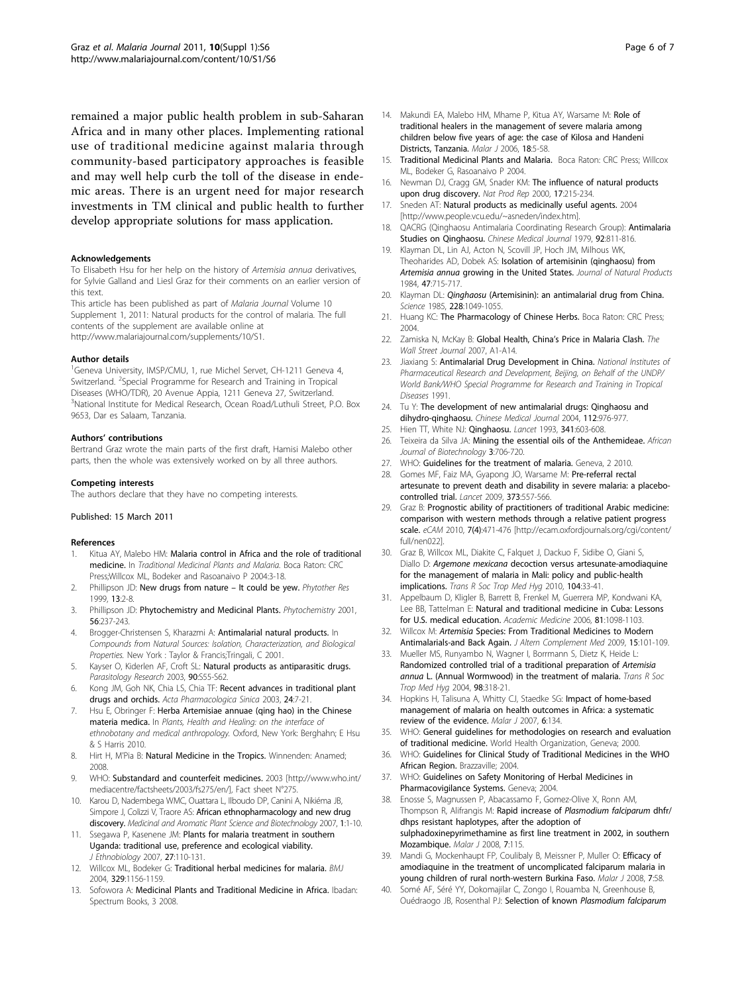<span id="page-5-0"></span>remained a major public health problem in sub-Saharan Africa and in many other places. Implementing rational use of traditional medicine against malaria through community-based participatory approaches is feasible and may well help curb the toll of the disease in endemic areas. There is an urgent need for major research investments in TM clinical and public health to further develop appropriate solutions for mass application.

#### Acknowledgements

To Elisabeth Hsu for her help on the history of Artemisia annua derivatives, for Sylvie Galland and Liesl Graz for their comments on an earlier version of this text.

This article has been published as part of Malaria Journal Volume 10 Supplement 1, 2011: Natural products for the control of malaria. The full contents of the supplement are available online at [http://www.malariajournal.com/supplements/10/S1.](http://�www.�malariajournal.com/supplements/10/S1)

#### Author details

<sup>1</sup>Geneva University, IMSP/CMU, 1, rue Michel Servet, CH-1211 Geneva 4, Switzerland. <sup>2</sup>Special Programme for Research and Training in Tropical Diseases (WHO/TDR), 20 Avenue Appia, 1211 Geneva 27, Switzerland. 3 National Institute for Medical Research, Ocean Road/Luthuli Street, P.O. Box 9653, Dar es Salaam, Tanzania.

#### Authors' contributions

Bertrand Graz wrote the main parts of the first draft, Hamisi Malebo other parts, then the whole was extensively worked on by all three authors.

#### Competing interests

The authors declare that they have no competing interests.

#### Published: 15 March 2011

#### References

- Kitua AY, Malebo HM: Malaria control in Africa and the role of traditional medicine. In Traditional Medicinal Plants and Malaria. Boca Raton: CRC Press;Willcox ML, Bodeker and Rasoanaivo P 2004:3-18.
- Phillipson JD: [New drugs from nature](http://www.ncbi.nlm.nih.gov/pubmed/10189942?dopt=Abstract) It could be yew. Phytother Res 1999, 13:2-8.
- 3. Phillipson JD: [Phytochemistry and Medicinal Plants.](http://www.ncbi.nlm.nih.gov/pubmed/11243450?dopt=Abstract) Phytochemistry 2001, 56:237-243.
- 4. Brogger-Christensen S, Kharazmi A: Antimalarial natural products. In Compounds from Natural Sources: Isolation, Characterization, and Biological Properties. New York : Taylor & Francis;Tringali, C 2001.
- 5. Kayser O, Kiderlen AF, Croft SL: [Natural products as antiparasitic drugs.](http://www.ncbi.nlm.nih.gov/pubmed/12937967?dopt=Abstract) Parasitology Research 2003, 90:S55-S62.
- 6. Kong JM, Goh NK, Chia LS, Chia TF: [Recent advances in traditional plant](http://www.ncbi.nlm.nih.gov/pubmed/12511224?dopt=Abstract) [drugs and orchids.](http://www.ncbi.nlm.nih.gov/pubmed/12511224?dopt=Abstract) Acta Pharmacologica Sinica 2003, 24:7-21.
- 7. Hsu E, Obringer F: Herba Artemisiae annuae (qing hao) in the Chinese materia medica. In Plants, Health and Healing: on the interface of ethnobotany and medical anthropology. Oxford, New York: Berghahn; E Hsu & S Harris 2010.
- 8. Hirt H, M'Pia B: Natural Medicine in the Tropics. Winnenden: Anamed; 2008.
- WHO: Substandard and counterfeit medicines. 2003 [\[http://www.who.int/](http://www.who.int/mediacentre/factsheets/2003/fs275/en/) [mediacentre/factsheets/2003/fs275/en/\]](http://www.who.int/mediacentre/factsheets/2003/fs275/en/), Fact sheet N°275.
- 10. Karou D, Nadembega WMC, Ouattara L, Ilboudo DP, Canini A, Nikiéma JB, Simpore J, Colizzi V, Traore AS: African ethnopharmacology and new drug discovery. Medicinal and Aromatic Plant Science and Biotechnology 2007, 1:1-10.
- 11. Ssegawa P, Kasenene JM: Plants for malaria treatment in southern Uganda: traditional use, preference and ecological viability. J Ethnobiology 2007, 27:110-131.
- 12. Willcox ML, Bodeker G: [Traditional herbal medicines for malaria.](http://www.ncbi.nlm.nih.gov/pubmed/15539672?dopt=Abstract) BMJ 2004, 329:1156-1159.
- 13. Sofowora A: Medicinal Plants and Traditional Medicine in Africa. Ibadan: Spectrum Books, 3 2008.
- 14. Makundi EA, Malebo HM, Mhame P, Kitua AY, Warsame M: Role of traditional healers in the management of severe malaria among children below five years of age: the case of Kilosa and Handeni Districts, Tanzania. Malar J 2006, 18:5-58.
- 15. Traditional Medicinal Plants and Malaria. Boca Raton: CRC Press; Willcox ML, Bodeker G, Rasoanaivo P 2004.
- 16. Newman DJ, Cragg GM, Snader KM: [The influence of natural products](http://www.ncbi.nlm.nih.gov/pubmed/10888010?dopt=Abstract) [upon drug discovery.](http://www.ncbi.nlm.nih.gov/pubmed/10888010?dopt=Abstract) Nat Prod Rep 2000, 17:215-234.
- 17. Sneden AT: [Natural products as medicinally useful agents.](http://www.ncbi.nlm.nih.gov/pubmed/14987062?dopt=Abstract) 2004 [[http://www.people.vcu.edu/~asneden/index.htm](http://�www.people.vcu.edu/~asneden/index.htm)].
- 18. QACRG (Qinghaosu [Antimalaria](http://www.ncbi.nlm.nih.gov/pubmed/117984?dopt=Abstract) Coordinating Research Group): Antimalaria [Studies on Qinghaosu.](http://www.ncbi.nlm.nih.gov/pubmed/117984?dopt=Abstract) Chinese Medical Journal 1979, 92:811-816.
- 19. Klayman DL, Lin AJ, Acton N, Scovill JP, Hoch JM, Milhous WK, Theoharides AD, Dobek AS: [Isolation of artemisinin \(qinghaosu\) from](http://www.ncbi.nlm.nih.gov/pubmed/6387056?dopt=Abstract) Artemisia annua [growing in the United States.](http://www.ncbi.nlm.nih.gov/pubmed/6387056?dopt=Abstract) Journal of Natural Products 1984, 47:715-717.
- 20. Klayman DL: Qinghaosu [\(Artemisinin\): an antimalarial drug from China.](http://www.ncbi.nlm.nih.gov/pubmed/3887571?dopt=Abstract) Science 1985, 228:1049-1055.
- 21. Huang KC: The Pharmacology of Chinese Herbs. Boca Raton: CRC Press; 2004.
- 22. Zamiska N, McKay B: Global Health, China's Price in Malaria Clash. The Wall Street Journal 2007, A1-A14.
- 23. Jiaxiang S: Antimalarial Drug Development in China. National Institutes of Pharmaceutical Research and Development, Beijing, on Behalf of the UNDP/ World Bank/WHO Special Programme for Research and Training in Tropical Diseases 1991.
- 24. Tu Y: The development of new antimalarial drugs: Qinghaosu and dihydro-qinghaosu. Chinese Medical Journal 2004, 112:976-977.
- 25. Hien TT, White NJ: [Qinghaosu.](http://www.ncbi.nlm.nih.gov/pubmed/8094838?dopt=Abstract) Lancet 1993, 341:603-608.
- 26. Teixeira da Silva JA: Mining the essential oils of the Anthemideae. African Journal of Biotechnology 3:706-720.
- 27. WHO: Guidelines for the treatment of malaria. Geneva, 2 2010.
- 28. Gomes MF, Faiz MA, Gyapong JO, Warsame M: [Pre-referral rectal](http://www.ncbi.nlm.nih.gov/pubmed/19059639?dopt=Abstract) [artesunate to prevent death and disability in severe malaria: a placebo](http://www.ncbi.nlm.nih.gov/pubmed/19059639?dopt=Abstract)[controlled trial.](http://www.ncbi.nlm.nih.gov/pubmed/19059639?dopt=Abstract) Lancet 2009, 373:557-566.
- 29. Graz B: Prognostic ability of practitioners of traditional Arabic medicine: comparison with western methods through a relative patient progress scale. eCAM 2010, 7(4):471-476 [\[http://ecam.oxfordjournals.org/cgi/content/](http://ecam.oxfordjournals.org/cgi/content/full/nen022) [full/nen022\]](http://ecam.oxfordjournals.org/cgi/content/full/nen022).
- 30. Graz B, Willcox ML, Diakite C, Falquet J, Dackuo F, Sidibe O, Giani S, Diallo D: Argemone mexicana [decoction versus artesunate-amodiaquine](http://www.ncbi.nlm.nih.gov/pubmed/19733875?dopt=Abstract) [for the management of malaria in Mali: policy and public-health](http://www.ncbi.nlm.nih.gov/pubmed/19733875?dopt=Abstract) [implications.](http://www.ncbi.nlm.nih.gov/pubmed/19733875?dopt=Abstract) Trans R Soc Trop Med Hyg 2010, 104:33-41.
- 31. Appelbaum D, Kligler B, Barrett B, Frenkel M, Guerrera MP, Kondwani KA, Lee BB, Tattelman E: [Natural and traditional medicine in Cuba: Lessons](http://www.ncbi.nlm.nih.gov/pubmed/17122478?dopt=Abstract) [for U.S. medical education.](http://www.ncbi.nlm.nih.gov/pubmed/17122478?dopt=Abstract) Academic Medicine 2006, 81:1098-1103.
- 32. Willcox M: Artemisia [Species: From Traditional Medicines to Modern](http://www.ncbi.nlm.nih.gov/pubmed/19236169?dopt=Abstract) [Antimalarials-and](http://www.ncbi.nlm.nih.gov/pubmed/19236169?dopt=Abstract) Back Again. J Altern Complement Med 2009, 15:101-109.
- 33. Mueller MS, Runyambo N, Wagner I, Borrmann S, Dietz K, Heide L: [Randomized controlled trial of a traditional preparation of](http://www.ncbi.nlm.nih.gov/pubmed/15109558?dopt=Abstract) Artemisia annua [L. \(Annual Wormwood\) in the treatment of malaria.](http://www.ncbi.nlm.nih.gov/pubmed/15109558?dopt=Abstract) Trans R Soc Trop Med Hyg 2004, 98:318-21.
- 34. Hopkins H, Talisuna A, Whitty CJ, Staedke SG: [Impact of home-based](http://www.ncbi.nlm.nih.gov/pubmed/17922916?dopt=Abstract) [management of malaria on health outcomes in Africa: a systematic](http://www.ncbi.nlm.nih.gov/pubmed/17922916?dopt=Abstract) [review of the evidence.](http://www.ncbi.nlm.nih.gov/pubmed/17922916?dopt=Abstract) Malar J 2007, 6:134.
- 35. WHO: General guidelines for methodologies on research and evaluation of traditional medicine. World Health Organization, Geneva; 2000.
- 36. WHO: Guidelines for Clinical Study of Traditional Medicines in the WHO African Region. Brazzaville: 2004.
- 37. WHO: Guidelines on Safety Monitoring of Herbal Medicines in Pharmacovigilance Systems. Geneva; 2004.
- 38. Enosse S, Magnussen P, Abacassamo F, Gomez-Olive X, Ronn AM, Thompson R, Alifrangis M: Rapid increase of [Plasmodium falciparum](http://www.ncbi.nlm.nih.gov/pubmed/18590577?dopt=Abstract) dhfr/ [dhps resistant haplotypes, after the adoption of](http://www.ncbi.nlm.nih.gov/pubmed/18590577?dopt=Abstract) [sulphadoxinepyrimethamine as first line treatment in 2002, in southern](http://www.ncbi.nlm.nih.gov/pubmed/18590577?dopt=Abstract) [Mozambique.](http://www.ncbi.nlm.nih.gov/pubmed/18590577?dopt=Abstract) Malar J 2008, 7:115.
- 39. Mandi G, Mockenhaupt FP, Coulibaly B, Meissner P, Muller O: [Efficacy of](http://www.ncbi.nlm.nih.gov/pubmed/18419816?dopt=Abstract) [amodiaquine in the treatment of uncomplicated falciparum malaria in](http://www.ncbi.nlm.nih.gov/pubmed/18419816?dopt=Abstract) [young children of rural north-western Burkina Faso.](http://www.ncbi.nlm.nih.gov/pubmed/18419816?dopt=Abstract) Malar J 2008, 7:58.
- 40. Somé AF, Séré YY, Dokomajilar C, Zongo I, Rouamba N, Greenhouse B, Ouédraogo JB, Rosenthal PJ: Selection of known [Plasmodium falciparum](http://www.ncbi.nlm.nih.gov/pubmed/20231394?dopt=Abstract)